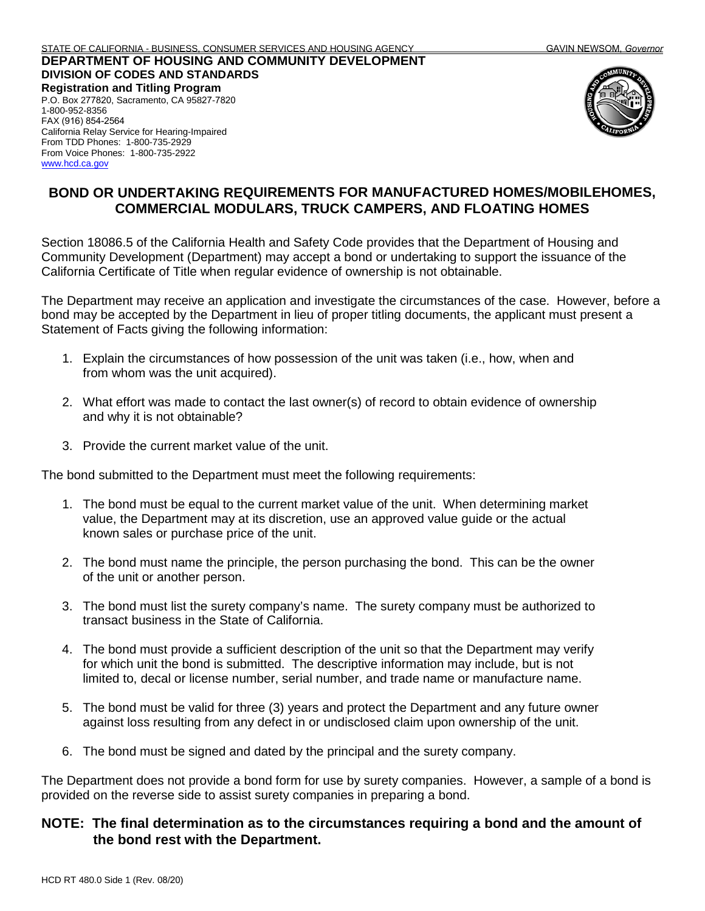## **DEPARTMENT OF HOUSING AND COMMUNITY DEVELOPMENT DIVISION OF CODES AND STANDARDS**

**Registration and Titling Program**  P.O. Box 277820, Sacramento, CA 95827-7820 1-800-952-8356 FAX (916) 854-2564 California Relay Service for Hearing-Impaired From TDD Phones: 1-800-735-2929 From Voice Phones: 1-800-735-2922 [www.hcd.ca.gov](http://www.hcd.ca.gov/)



## **BOND OR UNDERTAKING REQUIREMENTS FOR MANUFACTURED HOMES/MOBILEHOMES, COMMERCIAL MODULARS, TRUCK CAMPERS, AND FLOATING HOMES**

Section 18086.5 of the California Health and Safety Code provides that the Department of Housing and Community Development (Department) may accept a bond or undertaking to support the issuance of the California Certificate of Title when regular evidence of ownership is not obtainable.

The Department may receive an application and investigate the circumstances of the case. However, before a bond may be accepted by the Department in lieu of proper titling documents, the applicant must present a Statement of Facts giving the following information:

- 1. Explain the circumstances of how possession of the unit was taken (i.e., how, when and from whom was the unit acquired).
- 2. What effort was made to contact the last owner(s) of record to obtain evidence of ownership and why it is not obtainable?
- 3. Provide the current market value of the unit.

The bond submitted to the Department must meet the following requirements:

- 1. The bond must be equal to the current market value of the unit. When determining market value, the Department may at its discretion, use an approved value guide or the actual known sales or purchase price of the unit.
- 2. The bond must name the principle, the person purchasing the bond. This can be the owner of the unit or another person.
- 3. The bond must list the surety company's name. The surety company must be authorized to transact business in the State of California.
- 4. The bond must provide a sufficient description of the unit so that the Department may verify for which unit the bond is submitted. The descriptive information may include, but is not limited to, decal or license number, serial number, and trade name or manufacture name.
- 5. The bond must be valid for three (3) years and protect the Department and any future owner against loss resulting from any defect in or undisclosed claim upon ownership of the unit.
- 6. The bond must be signed and dated by the principal and the surety company.

The Department does not provide a bond form for use by surety companies. However, a sample of a bond is provided on the reverse side to assist surety companies in preparing a bond.

## **NOTE: The final determination as to the circumstances requiring a bond and the amount of the bond rest with the Department.**